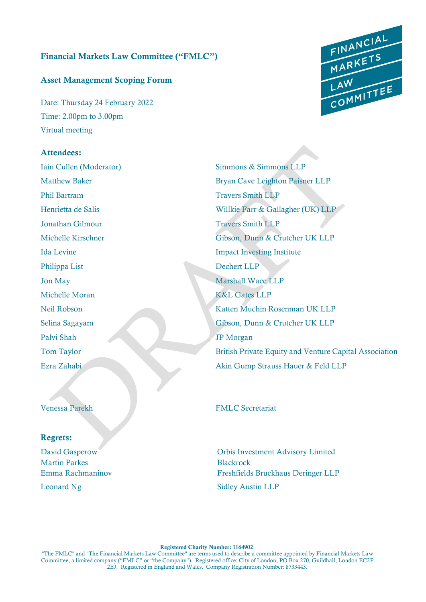# Financial Markets Law Committee ("FMLC")

### Asset Management Scoping Forum

Date: Thursday 24 February 2022 Time: 2.00pm to 3.00pm Virtual meeting

## Attendees:

Iain Cullen (Moderator) Simmons & Simmons LLP Phil Bartram Travers Smith LLP **Jonathan Gilmour Travers Smith LLP** Philippa List Dechert LLP Jon May Marshall Wace LLP Michelle Moran K&L Gates LLP Palvi Shah JP Morgan

Matthew Baker Bryan Cave Leighton Paisner LLP Henrietta de Salis Willkie Farr & Gallagher (UK) LLP Michelle Kirschner Gibson, Dunn & Crutcher UK LLP Ida Levine Impact Investing Institute Neil Robson Katten Muchin Rosenman UK LLP Selina Sagayam Gibson, Dunn & Crutcher UK LLP Tom Taylor British Private Equity and Venture Capital Association Ezra Zahabi Akin Gump Strauss Hauer & Feld LLP

Venessa Parekh FMLC Secretariat

#### Regrets:

Martin Parkes Blackrock Leonard Ng Sidley Austin LLP

David Gasperow Orbis Investment Advisory Limited Emma Rachmaninov Freshfields Bruckhaus Deringer LLP

#### Registered Charity Number: 1164902.

"The FMLC" and "The Financial Markets Law Committee" are terms used to describe a committee appointed by Financial Markets Law Committee, a limited company ("FMLC" or "the Company"). Registered office: City of London, PO Box 270, Guildhall, London EC2P 2EJ. Registered in England and Wales. Company Registration Number: 8733443.